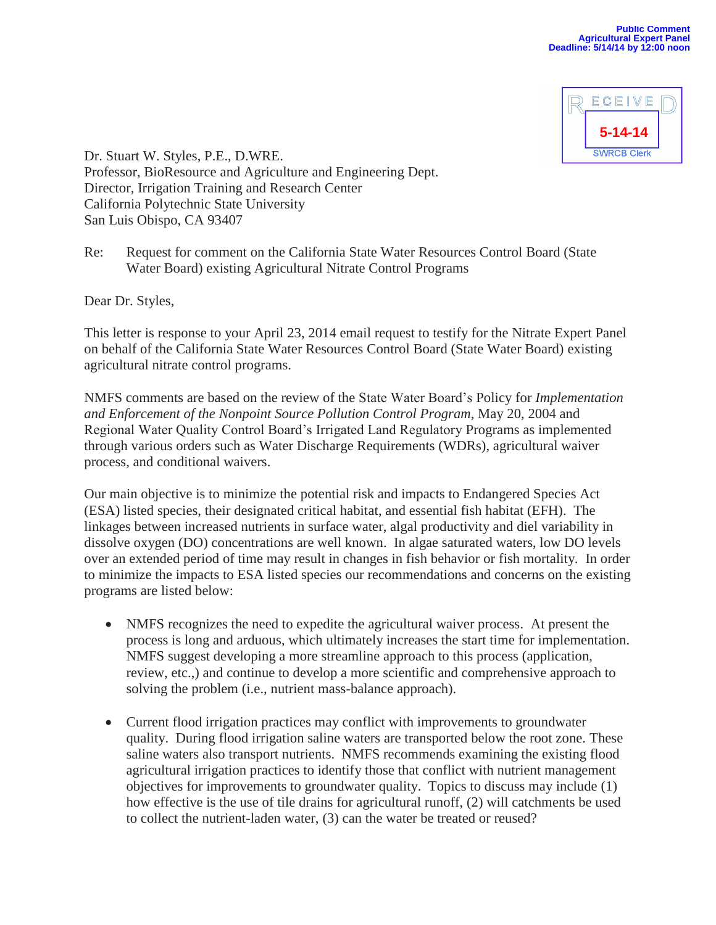

Dr. Stuart W. Styles, P.E., D.WRE. Professor, BioResource and Agriculture and Engineering Dept. Director, Irrigation Training and Research Center California Polytechnic State University San Luis Obispo, CA 93407

Re: Request for comment on the California State Water Resources Control Board (State Water Board) existing Agricultural Nitrate Control Programs

Dear Dr. Styles,

This letter is response to your April 23, 2014 email request to testify for the Nitrate Expert Panel on behalf of the California State Water Resources Control Board (State Water Board) existing agricultural nitrate control programs.

NMFS comments are based on the review of the State Water Board's Policy for *Implementation and Enforcement of the Nonpoint Source Pollution Control Program*, May 20, 2004 and Regional Water Quality Control Board's Irrigated Land Regulatory Programs as implemented through various orders such as Water Discharge Requirements (WDRs), agricultural waiver process, and conditional waivers.

Our main objective is to minimize the potential risk and impacts to Endangered Species Act (ESA) listed species, their designated critical habitat, and essential fish habitat (EFH). The linkages between increased nutrients in surface water, algal productivity and diel variability in dissolve oxygen (DO) concentrations are well known. In algae saturated waters, low DO levels over an extended period of time may result in changes in fish behavior or fish mortality. In order to minimize the impacts to ESA listed species our recommendations and concerns on the existing programs are listed below:

- NMFS recognizes the need to expedite the agricultural waiver process. At present the process is long and arduous, which ultimately increases the start time for implementation. NMFS suggest developing a more streamline approach to this process (application, review, etc.,) and continue to develop a more scientific and comprehensive approach to solving the problem (i.e., nutrient mass-balance approach).
- Current flood irrigation practices may conflict with improvements to groundwater quality. During flood irrigation saline waters are transported below the root zone. These saline waters also transport nutrients. NMFS recommends examining the existing flood agricultural irrigation practices to identify those that conflict with nutrient management objectives for improvements to groundwater quality. Topics to discuss may include (1) how effective is the use of tile drains for agricultural runoff, (2) will catchments be used to collect the nutrient-laden water, (3) can the water be treated or reused?